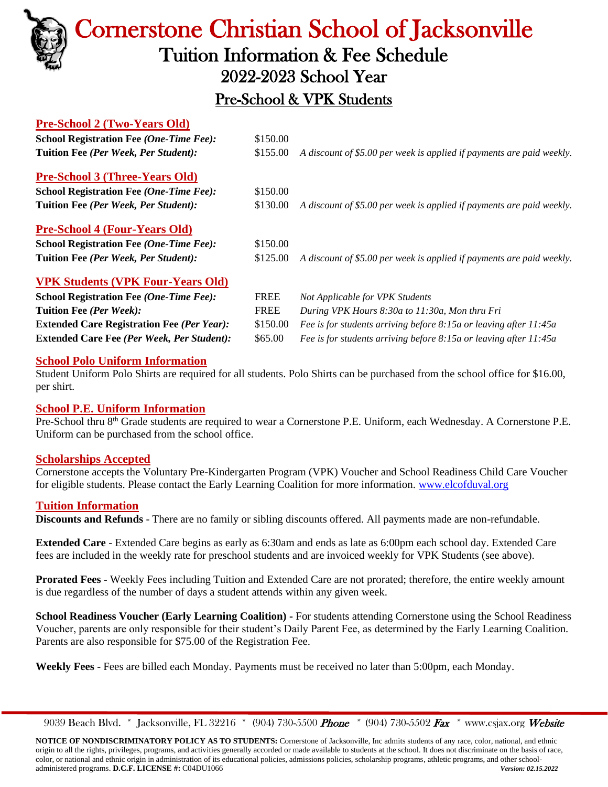

# Cornerstone Christian School of Jacksonville Tuition Information & Fee Schedule 2022-2023 School Year

### Pre-School & VPK Students

### **Pre-School 2 (Two-Years Old)**

| <b>School Registration Fee (One-Time Fee):</b>    | \$150.00    |                                                                       |  |  |
|---------------------------------------------------|-------------|-----------------------------------------------------------------------|--|--|
| Tuition Fee (Per Week, Per Student):              | \$155.00    | A discount of \$5.00 per week is applied if payments are paid weekly. |  |  |
| <b>Pre-School 3 (Three-Years Old)</b>             |             |                                                                       |  |  |
| <b>School Registration Fee (One-Time Fee):</b>    | \$150.00    |                                                                       |  |  |
| Tuition Fee (Per Week, Per Student):              | \$130.00    | A discount of \$5.00 per week is applied if payments are paid weekly. |  |  |
| <b>Pre-School 4 (Four-Years Old)</b>              |             |                                                                       |  |  |
| <b>School Registration Fee (One-Time Fee):</b>    | \$150.00    |                                                                       |  |  |
| Tuition Fee (Per Week, Per Student):              | \$125.00    | A discount of \$5.00 per week is applied if payments are paid weekly. |  |  |
| <b>VPK Students (VPK Four-Years Old)</b>          |             |                                                                       |  |  |
| <b>School Registration Fee (One-Time Fee):</b>    | <b>FREE</b> | Not Applicable for VPK Students                                       |  |  |
| Tuition Fee (Per Week):                           | <b>FREE</b> | During VPK Hours 8:30a to 11:30a, Mon thru Fri                        |  |  |
| <b>Extended Care Registration Fee (Per Year):</b> | \$150.00    | Fee is for students arriving before 8:15a or leaving after 11:45a     |  |  |

#### **School Polo Uniform Information**

Student Uniform Polo Shirts are required for all students. Polo Shirts can be purchased from the school office for \$16.00, per shirt.

**Extended Care Fee** *(Per Week, Per Student):* \$65.00 *Fee is for students arriving before 8:15a or leaving after 11:45a*

### **School P.E. Uniform Information**

Pre-School thru 8<sup>th</sup> Grade students are required to wear a Cornerstone P.E. Uniform, each Wednesday. A Cornerstone P.E. Uniform can be purchased from the school office.

### **Scholarships Accepted**

Cornerstone accepts the Voluntary Pre-Kindergarten Program (VPK) Voucher and School Readiness Child Care Voucher for eligible students. Please contact the Early Learning Coalition for more information. [www.elcofduval.org](http://www.elcofduval.org/) 

### **Tuition Information**

**Discounts and Refunds** - There are no family or sibling discounts offered. All payments made are non-refundable.

**Extended Care** - Extended Care begins as early as 6:30am and ends as late as 6:00pm each school day. Extended Care fees are included in the weekly rate for preschool students and are invoiced weekly for VPK Students (see above).

**Prorated Fees** - Weekly Fees including Tuition and Extended Care are not prorated; therefore, the entire weekly amount is due regardless of the number of days a student attends within any given week.

**School Readiness Voucher (Early Learning Coalition) -** For students attending Cornerstone using the School Readiness Voucher, parents are only responsible for their student's Daily Parent Fee, as determined by the Early Learning Coalition. Parents are also responsible for \$75.00 of the Registration Fee.

**Weekly Fees** - Fees are billed each Monday. Payments must be received no later than 5:00pm, each Monday.

9039 Beach Blvd. \* Jacksonville, FL 32216 \* (904) 730-5500 Phone \* (904) 730-5502 Fax \* [www.csjax.org](http://www.csjax.org/) Website

**NOTICE OF NONDISCRIMINATORY POLICY AS TO STUDENTS:** Cornerstone of Jacksonville, Inc admits students of any race, color, national, and ethnic origin to all the rights, privileges, programs, and activities generally accorded or made available to students at the school. It does not discriminate on the basis of race, color, or national and ethnic origin in administration of its educational policies, admissions policies, scholarship programs, athletic programs, and other schooladministered programs. **D.C.F. LICENSE #:** C04DU1066 *Version: 02.15.2022*